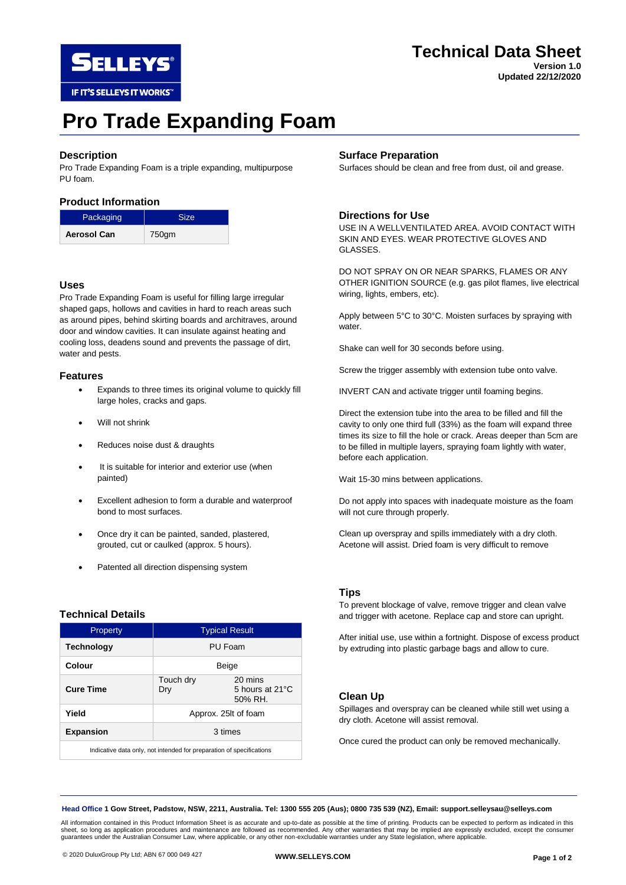

# **Technical Data Sheet**

**Version 1.0 Updated 22/12/2020**

# **Pro Trade Expanding Foam**

# **Description**

Pro Trade Expanding Foam is a triple expanding, multipurpose PU foam.

# **Product Information**

| Packaging          | Size. |
|--------------------|-------|
| <b>Aerosol Can</b> | 750gm |

# **Uses**

Pro Trade Expanding Foam is useful for filling large irregular shaped gaps, hollows and cavities in hard to reach areas such as around pipes, behind skirting boards and architraves, around door and window cavities. It can insulate against heating and cooling loss, deadens sound and prevents the passage of dirt, water and pests.

#### **Features**

- Expands to three times its original volume to quickly fill large holes, cracks and gaps.
- Will not shrink
- Reduces noise dust & draughts
- It is suitable for interior and exterior use (when painted)
- Excellent adhesion to form a durable and waterproof bond to most surfaces.
- Once dry it can be painted, sanded, plastered, grouted, cut or caulked (approx. 5 hours).
- Patented all direction dispensing system

# **Technical Details**

| Property                                                             | <b>Typical Result</b> |                                       |
|----------------------------------------------------------------------|-----------------------|---------------------------------------|
| <b>Technology</b>                                                    | PU Foam               |                                       |
| Colour                                                               | Beige                 |                                       |
| <b>Cure Time</b>                                                     | Touch dry<br>Dry      | 20 mins<br>5 hours at 21°C<br>50% RH. |
| Yield                                                                | Approx. 25lt of foam  |                                       |
| <b>Expansion</b>                                                     | 3 times               |                                       |
| Indicative data only, not intended for preparation of specifications |                       |                                       |

#### **Surface Preparation**

Surfaces should be clean and free from dust, oil and grease.

# **Directions for Use**

USE IN A WELLVENTILATED AREA. AVOID CONTACT WITH SKIN AND EYES. WEAR PROTECTIVE GLOVES AND GLASSES.

DO NOT SPRAY ON OR NEAR SPARKS, FLAMES OR ANY OTHER IGNITION SOURCE (e.g. gas pilot flames, live electrical wiring, lights, embers, etc).

Apply between 5°C to 30°C. Moisten surfaces by spraying with water.

Shake can well for 30 seconds before using.

Screw the trigger assembly with extension tube onto valve.

INVERT CAN and activate trigger until foaming begins.

Direct the extension tube into the area to be filled and fill the cavity to only one third full (33%) as the foam will expand three times its size to fill the hole or crack. Areas deeper than 5cm are to be filled in multiple layers, spraying foam lightly with water, before each application.

Wait 15-30 mins between applications.

Do not apply into spaces with inadequate moisture as the foam will not cure through properly.

Clean up overspray and spills immediately with a dry cloth. Acetone will assist. Dried foam is very difficult to remove

#### **Tips**

To prevent blockage of valve, remove trigger and clean valve and trigger with acetone. Replace cap and store can upright.

After initial use, use within a fortnight. Dispose of excess product by extruding into plastic garbage bags and allow to cure.

### **Clean Up**

Spillages and overspray can be cleaned while still wet using a dry cloth. Acetone will assist removal.

Once cured the product can only be removed mechanically.

**Head Office 1 Gow Street, Padstow, NSW, 2211, Australia. Tel: 1300 555 205 (Aus); 0800 735 539 (NZ), Email: support.selleysau@selleys.com**

All information contained in this Product Information Sheet is as accurate and up-to-date as possible at the time of printing. Products can be expected to perform as indicated in this sheet, so long as application procedures and maintenance are followed as recommended. Any other warranties that may be implied are expressly excluded, except the consumer guarantees under the Australian Consumer Law, where applicable, or any other non-excludable warranties under any State legislation, where applicable.